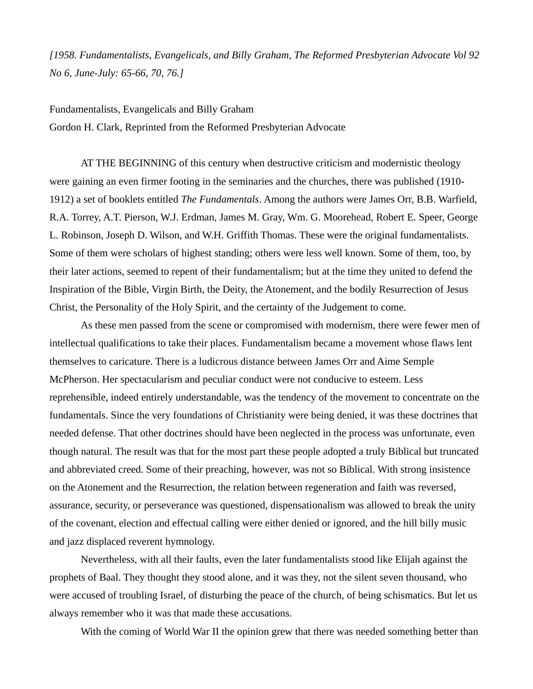*[1958. Fundamentalists, Evangelicals, and Billy Graham, The Reformed Presbyterian Advocate Vol 92 No 6, June-July: 65-66, 70, 76.]*

Fundamentalists, Evangelicals and Billy Graham Gordon H. Clark, Reprinted from the Reformed Presbyterian Advocate

AT THE BEGINNING of this century when destructive criticism and modernistic theology were gaining an even firmer footing in the seminaries and the churches, there was published (1910- 1912) a set of booklets entitled *The Fundamentals*. Among the authors were James Orr, B.B. Warfield, R.A. Torrey, A.T. Pierson, W.J. Erdman, James M. Gray, Wm. G. Moorehead, Robert E. Speer, George L. Robinson, Joseph D. Wilson, and W.H. Griffith Thomas. These were the original fundamentalists. Some of them were scholars of highest standing; others were less well known. Some of them, too, by their later actions, seemed to repent of their fundamentalism; but at the time they united to defend the Inspiration of the Bible, Virgin Birth, the Deity, the Atonement, and the bodily Resurrection of Jesus Christ, the Personality of the Holy Spirit, and the certainty of the Judgement to come.

As these men passed from the scene or compromised with modernism, there were fewer men of intellectual qualifications to take their places. Fundamentalism became a movement whose flaws lent themselves to caricature. There is a ludicrous distance between James Orr and Aime Semple McPherson. Her spectacularism and peculiar conduct were not conducive to esteem. Less reprehensible, indeed entirely understandable, was the tendency of the movement to concentrate on the fundamentals. Since the very foundations of Christianity were being denied, it was these doctrines that needed defense. That other doctrines should have been neglected in the process was unfortunate, even though natural. The result was that for the most part these people adopted a truly Biblical but truncated and abbreviated creed. Some of their preaching, however, was not so Biblical. With strong insistence on the Atonement and the Resurrection, the relation between regeneration and faith was reversed, assurance, security, or perseverance was questioned, dispensationalism was allowed to break the unity of the covenant, election and effectual calling were either denied or ignored, and the hill billy music and jazz displaced reverent hymnology.

Nevertheless, with all their faults, even the later fundamentalists stood like Elijah against the prophets of Baal. They thought they stood alone, and it was they, not the silent seven thousand, who were accused of troubling Israel, of disturbing the peace of the church, of being schismatics. But let us always remember who it was that made these accusations.

With the coming of World War II the opinion grew that there was needed something better than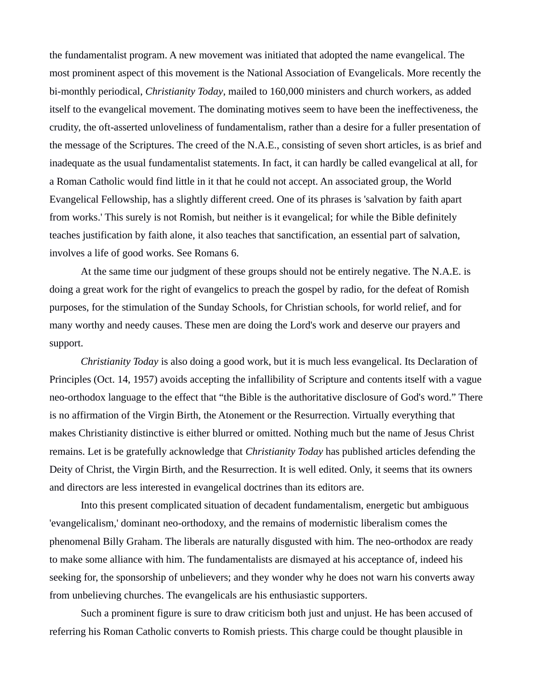the fundamentalist program. A new movement was initiated that adopted the name evangelical. The most prominent aspect of this movement is the National Association of Evangelicals. More recently the bi-monthly periodical, *Christianity Today*, mailed to 160,000 ministers and church workers, as added itself to the evangelical movement. The dominating motives seem to have been the ineffectiveness, the crudity, the oft-asserted unloveliness of fundamentalism, rather than a desire for a fuller presentation of the message of the Scriptures. The creed of the N.A.E., consisting of seven short articles, is as brief and inadequate as the usual fundamentalist statements. In fact, it can hardly be called evangelical at all, for a Roman Catholic would find little in it that he could not accept. An associated group, the World Evangelical Fellowship, has a slightly different creed. One of its phrases is 'salvation by faith apart from works.' This surely is not Romish, but neither is it evangelical; for while the Bible definitely teaches justification by faith alone, it also teaches that sanctification, an essential part of salvation, involves a life of good works. See Romans 6.

At the same time our judgment of these groups should not be entirely negative. The N.A.E. is doing a great work for the right of evangelics to preach the gospel by radio, for the defeat of Romish purposes, for the stimulation of the Sunday Schools, for Christian schools, for world relief, and for many worthy and needy causes. These men are doing the Lord's work and deserve our prayers and support.

*Christianity Today* is also doing a good work, but it is much less evangelical. Its Declaration of Principles (Oct. 14, 1957) avoids accepting the infallibility of Scripture and contents itself with a vague neo-orthodox language to the effect that "the Bible is the authoritative disclosure of God's word." There is no affirmation of the Virgin Birth, the Atonement or the Resurrection. Virtually everything that makes Christianity distinctive is either blurred or omitted. Nothing much but the name of Jesus Christ remains. Let is be gratefully acknowledge that *Christianity Today* has published articles defending the Deity of Christ, the Virgin Birth, and the Resurrection. It is well edited. Only, it seems that its owners and directors are less interested in evangelical doctrines than its editors are.

Into this present complicated situation of decadent fundamentalism, energetic but ambiguous 'evangelicalism,' dominant neo-orthodoxy, and the remains of modernistic liberalism comes the phenomenal Billy Graham. The liberals are naturally disgusted with him. The neo-orthodox are ready to make some alliance with him. The fundamentalists are dismayed at his acceptance of, indeed his seeking for, the sponsorship of unbelievers; and they wonder why he does not warn his converts away from unbelieving churches. The evangelicals are his enthusiastic supporters.

Such a prominent figure is sure to draw criticism both just and unjust. He has been accused of referring his Roman Catholic converts to Romish priests. This charge could be thought plausible in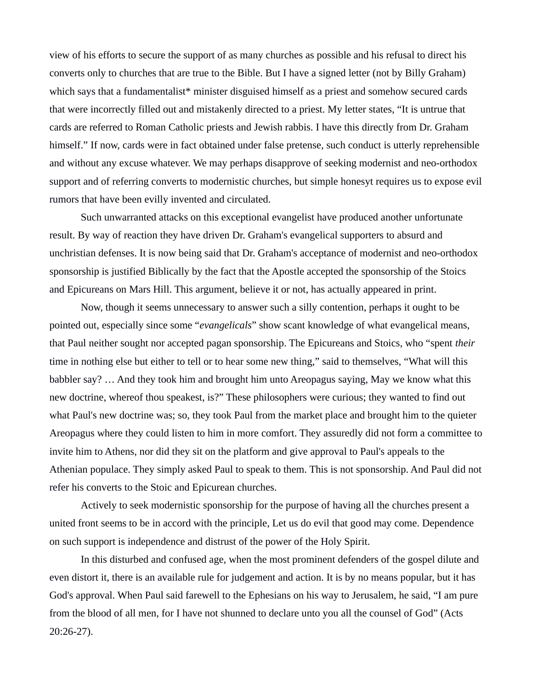view of his efforts to secure the support of as many churches as possible and his refusal to direct his converts only to churches that are true to the Bible. But I have a signed letter (not by Billy Graham) which says that a fundamentalist\* minister disguised himself as a priest and somehow secured cards that were incorrectly filled out and mistakenly directed to a priest. My letter states, "It is untrue that cards are referred to Roman Catholic priests and Jewish rabbis. I have this directly from Dr. Graham himself." If now, cards were in fact obtained under false pretense, such conduct is utterly reprehensible and without any excuse whatever. We may perhaps disapprove of seeking modernist and neo-orthodox support and of referring converts to modernistic churches, but simple honesyt requires us to expose evil rumors that have been evilly invented and circulated.

Such unwarranted attacks on this exceptional evangelist have produced another unfortunate result. By way of reaction they have driven Dr. Graham's evangelical supporters to absurd and unchristian defenses. It is now being said that Dr. Graham's acceptance of modernist and neo-orthodox sponsorship is justified Biblically by the fact that the Apostle accepted the sponsorship of the Stoics and Epicureans on Mars Hill. This argument, believe it or not, has actually appeared in print.

Now, though it seems unnecessary to answer such a silly contention, perhaps it ought to be pointed out, especially since some "*evangelicals*" show scant knowledge of what evangelical means, that Paul neither sought nor accepted pagan sponsorship. The Epicureans and Stoics, who "spent *their* time in nothing else but either to tell or to hear some new thing," said to themselves, "What will this babbler say? … And they took him and brought him unto Areopagus saying, May we know what this new doctrine, whereof thou speakest, is?" These philosophers were curious; they wanted to find out what Paul's new doctrine was; so, they took Paul from the market place and brought him to the quieter Areopagus where they could listen to him in more comfort. They assuredly did not form a committee to invite him to Athens, nor did they sit on the platform and give approval to Paul's appeals to the Athenian populace. They simply asked Paul to speak to them. This is not sponsorship. And Paul did not refer his converts to the Stoic and Epicurean churches.

Actively to seek modernistic sponsorship for the purpose of having all the churches present a united front seems to be in accord with the principle, Let us do evil that good may come. Dependence on such support is independence and distrust of the power of the Holy Spirit.

In this disturbed and confused age, when the most prominent defenders of the gospel dilute and even distort it, there is an available rule for judgement and action. It is by no means popular, but it has God's approval. When Paul said farewell to the Ephesians on his way to Jerusalem, he said, "I am pure from the blood of all men, for I have not shunned to declare unto you all the counsel of God" (Acts 20:26-27).